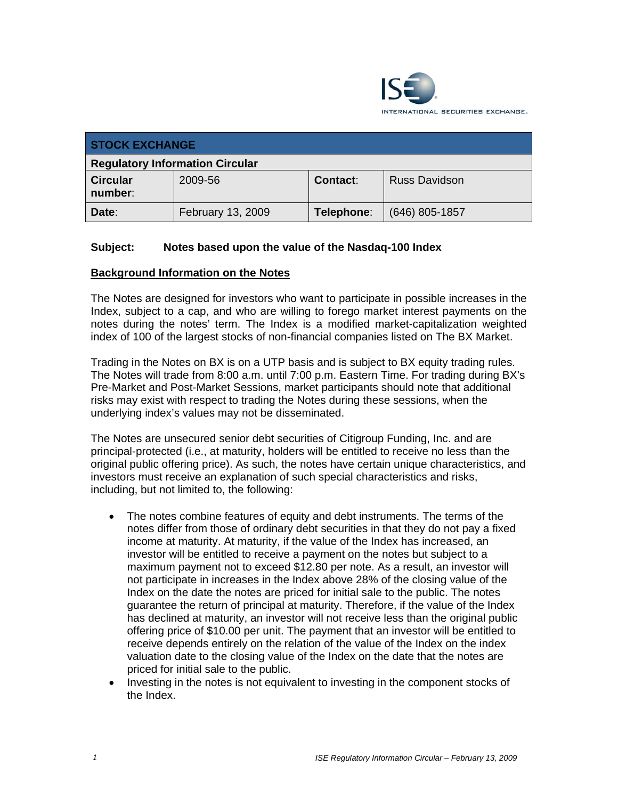

| <b>STOCK EXCHANGE</b>                  |                   |                 |                      |  |
|----------------------------------------|-------------------|-----------------|----------------------|--|
| <b>Regulatory Information Circular</b> |                   |                 |                      |  |
| <b>Circular</b><br>number:             | 2009-56           | <b>Contact:</b> | <b>Russ Davidson</b> |  |
| Date:                                  | February 13, 2009 | Telephone:      | (646) 805-1857       |  |

# **Subject: Notes based upon the value of the Nasdaq-100 Index**

### **Background Information on the Notes**

The Notes are designed for investors who want to participate in possible increases in the Index, subject to a cap, and who are willing to forego market interest payments on the notes during the notes' term. The Index is a modified market-capitalization weighted index of 100 of the largest stocks of non-financial companies listed on The BX Market.

Trading in the Notes on BX is on a UTP basis and is subject to BX equity trading rules. The Notes will trade from 8:00 a.m. until 7:00 p.m. Eastern Time. For trading during BX's Pre-Market and Post-Market Sessions, market participants should note that additional risks may exist with respect to trading the Notes during these sessions, when the underlying index's values may not be disseminated.

The Notes are unsecured senior debt securities of Citigroup Funding, Inc. and are principal-protected (i.e., at maturity, holders will be entitled to receive no less than the original public offering price). As such, the notes have certain unique characteristics, and investors must receive an explanation of such special characteristics and risks, including, but not limited to, the following:

- The notes combine features of equity and debt instruments. The terms of the notes differ from those of ordinary debt securities in that they do not pay a fixed income at maturity. At maturity, if the value of the Index has increased, an investor will be entitled to receive a payment on the notes but subject to a maximum payment not to exceed \$12.80 per note. As a result, an investor will not participate in increases in the Index above 28% of the closing value of the Index on the date the notes are priced for initial sale to the public. The notes guarantee the return of principal at maturity. Therefore, if the value of the Index has declined at maturity, an investor will not receive less than the original public offering price of \$10.00 per unit. The payment that an investor will be entitled to receive depends entirely on the relation of the value of the Index on the index valuation date to the closing value of the Index on the date that the notes are priced for initial sale to the public.
- Investing in the notes is not equivalent to investing in the component stocks of the Index.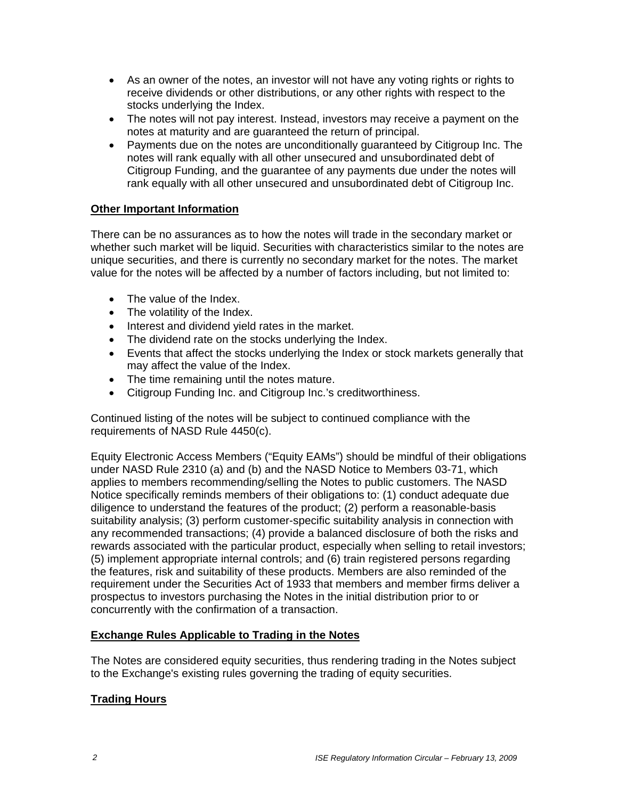- As an owner of the notes, an investor will not have any voting rights or rights to receive dividends or other distributions, or any other rights with respect to the stocks underlying the Index.
- The notes will not pay interest. Instead, investors may receive a payment on the notes at maturity and are guaranteed the return of principal.
- Payments due on the notes are unconditionally guaranteed by Citigroup Inc. The notes will rank equally with all other unsecured and unsubordinated debt of Citigroup Funding, and the guarantee of any payments due under the notes will rank equally with all other unsecured and unsubordinated debt of Citigroup Inc.

# **Other Important Information**

There can be no assurances as to how the notes will trade in the secondary market or whether such market will be liquid. Securities with characteristics similar to the notes are unique securities, and there is currently no secondary market for the notes. The market value for the notes will be affected by a number of factors including, but not limited to:

- The value of the Index.
- The volatility of the Index.
- Interest and dividend yield rates in the market.
- The dividend rate on the stocks underlying the Index.
- Events that affect the stocks underlying the Index or stock markets generally that may affect the value of the Index.
- The time remaining until the notes mature.
- Citigroup Funding Inc. and Citigroup Inc.'s creditworthiness.

Continued listing of the notes will be subject to continued compliance with the requirements of NASD Rule 4450(c).

Equity Electronic Access Members ("Equity EAMs") should be mindful of their obligations under NASD Rule 2310 (a) and (b) and the NASD Notice to Members 03-71, which applies to members recommending/selling the Notes to public customers. The NASD Notice specifically reminds members of their obligations to: (1) conduct adequate due diligence to understand the features of the product; (2) perform a reasonable-basis suitability analysis; (3) perform customer-specific suitability analysis in connection with any recommended transactions; (4) provide a balanced disclosure of both the risks and rewards associated with the particular product, especially when selling to retail investors; (5) implement appropriate internal controls; and (6) train registered persons regarding the features, risk and suitability of these products. Members are also reminded of the requirement under the Securities Act of 1933 that members and member firms deliver a prospectus to investors purchasing the Notes in the initial distribution prior to or concurrently with the confirmation of a transaction.

# **Exchange Rules Applicable to Trading in the Notes**

The Notes are considered equity securities, thus rendering trading in the Notes subject to the Exchange's existing rules governing the trading of equity securities.

# **Trading Hours**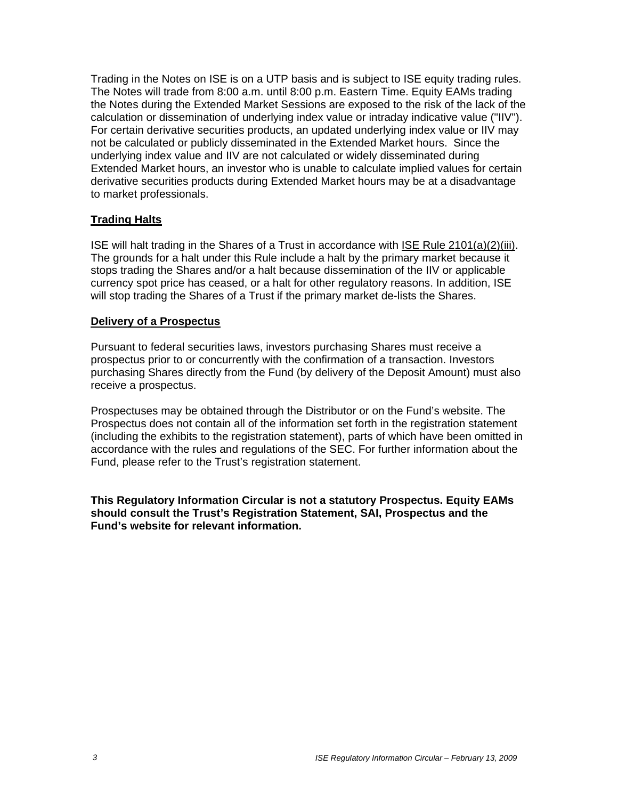Trading in the Notes on ISE is on a UTP basis and is subject to ISE equity trading rules. The Notes will trade from 8:00 a.m. until 8:00 p.m. Eastern Time. Equity EAMs trading the Notes during the Extended Market Sessions are exposed to the risk of the lack of the calculation or dissemination of underlying index value or intraday indicative value ("IIV"). For certain derivative securities products, an updated underlying index value or IIV may not be calculated or publicly disseminated in the Extended Market hours. Since the underlying index value and IIV are not calculated or widely disseminated during Extended Market hours, an investor who is unable to calculate implied values for certain derivative securities products during Extended Market hours may be at a disadvantage to market professionals.

# **Trading Halts**

ISE will halt trading in the Shares of a Trust in accordance with ISE Rule 2101(a)(2)(iii). The grounds for a halt under this Rule include a halt by the primary market because it stops trading the Shares and/or a halt because dissemination of the IIV or applicable currency spot price has ceased, or a halt for other regulatory reasons. In addition, ISE will stop trading the Shares of a Trust if the primary market de-lists the Shares.

### **Delivery of a Prospectus**

Pursuant to federal securities laws, investors purchasing Shares must receive a prospectus prior to or concurrently with the confirmation of a transaction. Investors purchasing Shares directly from the Fund (by delivery of the Deposit Amount) must also receive a prospectus.

Prospectuses may be obtained through the Distributor or on the Fund's website. The Prospectus does not contain all of the information set forth in the registration statement (including the exhibits to the registration statement), parts of which have been omitted in accordance with the rules and regulations of the SEC. For further information about the Fund, please refer to the Trust's registration statement.

**This Regulatory Information Circular is not a statutory Prospectus. Equity EAMs should consult the Trust's Registration Statement, SAI, Prospectus and the Fund's website for relevant information.**